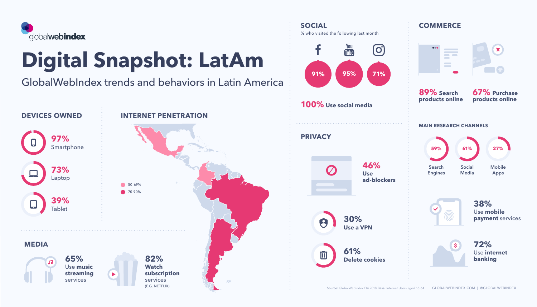